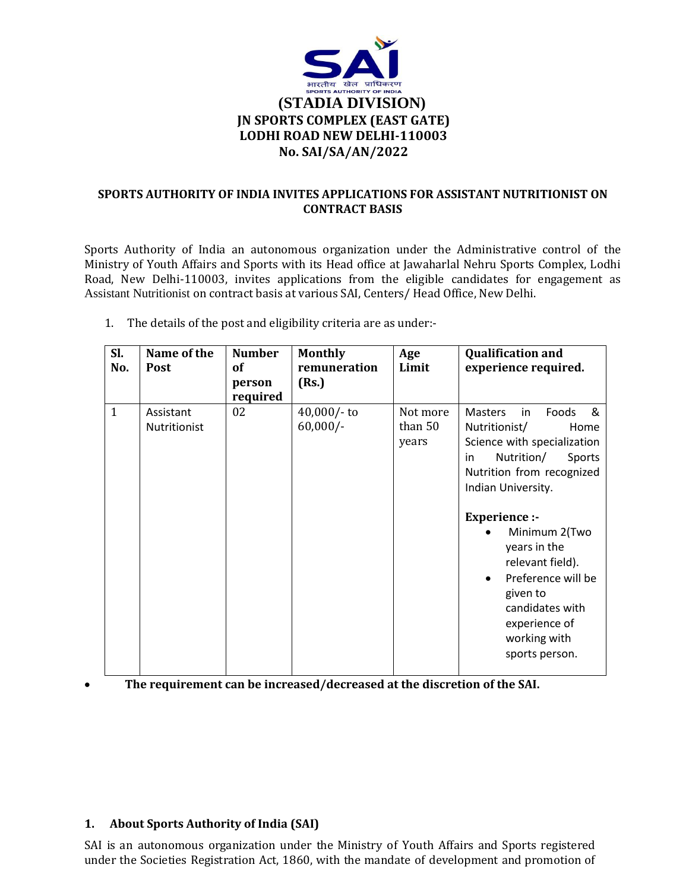

### **SPORTS AUTHORITY OF INDIA INVITES APPLICATIONS FOR ASSISTANT NUTRITIONIST ON CONTRACT BASIS**

Sports Authority of India an autonomous organization under the Administrative control of the Ministry of Youth Affairs and Sports with its Head office at Jawaharlal Nehru Sports Complex, Lodhi Road, New Delhi-110003, invites applications from the eligible candidates for engagement as Assistant Nutritionist on contract basis at various SAI, Centers/ Head Office, New Delhi.

| Sl.          | Name of the               | <b>Number</b>            | <b>Monthly</b>               | Age                          | <b>Qualification and</b>                                                                                                                                                                                                                                                                                                                                                     |
|--------------|---------------------------|--------------------------|------------------------------|------------------------------|------------------------------------------------------------------------------------------------------------------------------------------------------------------------------------------------------------------------------------------------------------------------------------------------------------------------------------------------------------------------------|
| No.          | <b>Post</b>               | of<br>person<br>required | remuneration<br>(Rs.)        | Limit                        | experience required.                                                                                                                                                                                                                                                                                                                                                         |
| $\mathbf{1}$ | Assistant<br>Nutritionist | 02                       | $40,000/$ - to<br>$60,000/-$ | Not more<br>than 50<br>years | <b>Masters</b><br>Foods<br>in<br>&<br>Nutritionist/<br>Home<br>Science with specialization<br>Nutrition/<br>Sports<br>in<br>Nutrition from recognized<br>Indian University.<br><b>Experience:-</b><br>Minimum 2(Two<br>years in the<br>relevant field).<br>Preference will be<br>$\bullet$<br>given to<br>candidates with<br>experience of<br>working with<br>sports person. |

1. The details of the post and eligibility criteria are as under:-

**The requirement can be increased/decreased at the discretion of the SAI.**

#### **1. About Sports Authority of India (SAI)**

SAI is an autonomous organization under the Ministry of Youth Affairs and Sports registered under the Societies Registration Act, 1860, with the mandate of development and promotion of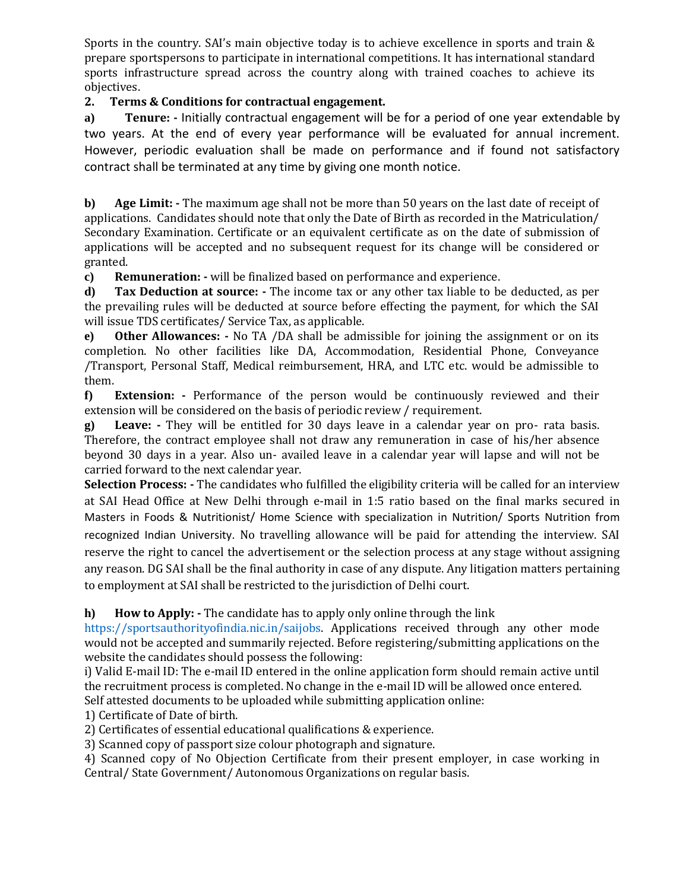Sports in the country. SAI's main objective today is to achieve excellence in sports and train & prepare sportspersons to participate in international competitions. It has international standard sports infrastructure spread across the country along with trained coaches to achieve its objectives.

# **2. Terms & Conditions for contractual engagement.**

**a) Tenure: -** Initially contractual engagement will be for a period of one year extendable by two years. At the end of every year performance will be evaluated for annual increment. However, periodic evaluation shall be made on performance and if found not satisfactory contract shall be terminated at any time by giving one month notice.

**b) Age Limit: -** The maximum age shall not be more than 50 years on the last date of receipt of applications. Candidates should note that only the Date of Birth as recorded in the Matriculation/ Secondary Examination. Certificate or an equivalent certificate as on the date of submission of applications will be accepted and no subsequent request for its change will be considered or granted.

**c) Remuneration: -** will be finalized based on performance and experience.

**d) Tax Deduction at source: -** The income tax or any other tax liable to be deducted, as per the prevailing rules will be deducted at source before effecting the payment, for which the SAI will issue TDS certificates/ Service Tax, as applicable.

**e) Other Allowances: -** No TA /DA shall be admissible for joining the assignment or on its completion. No other facilities like DA, Accommodation, Residential Phone, Conveyance /Transport, Personal Staff, Medical reimbursement, HRA, and LTC etc. would be admissible to them.

**f) Extension: -** Performance of the person would be continuously reviewed and their extension will be considered on the basis of periodic review / requirement.

**g) Leave: -** They will be entitled for 30 days leave in a calendar year on pro- rata basis. Therefore, the contract employee shall not draw any remuneration in case of his/her absence beyond 30 days in a year. Also un- availed leave in a calendar year will lapse and will not be carried forward to the next calendar year.

**Selection Process: -** The candidates who fulfilled the eligibility criteria will be called for an interview at SAI Head Office at New Delhi through e-mail in 1:5 ratio based on the final marks secured in Masters in Foods & Nutritionist/ Home Science with specialization in Nutrition/ Sports Nutrition from recognized Indian University. No travelling allowance will be paid for attending the interview. SAI reserve the right to cancel the advertisement or the selection process at any stage without assigning any reason. DG SAI shall be the final authority in case of any dispute. Any litigation matters pertaining to employment at SAI shall be restricted to the jurisdiction of Delhi court.

**h) How to Apply: -** The candidate has to apply only online through the link

https://sportsauthorityofindia.nic.in/saijobs. Applications received through any other mode would not be accepted and summarily rejected. Before registering/submitting applications on the website the candidates should possess the following:

i) Valid E-mail ID: The e-mail ID entered in the online application form should remain active until the recruitment process is completed. No change in the e-mail ID will be allowed once entered. Self attested documents to be uploaded while submitting application online:

1) Certificate of Date of birth.

2) Certificates of essential educational qualifications & experience.

3) Scanned copy of passport size colour photograph and signature.

4) Scanned copy of No Objection Certificate from their present employer, in case working in Central/ State Government/ Autonomous Organizations on regular basis.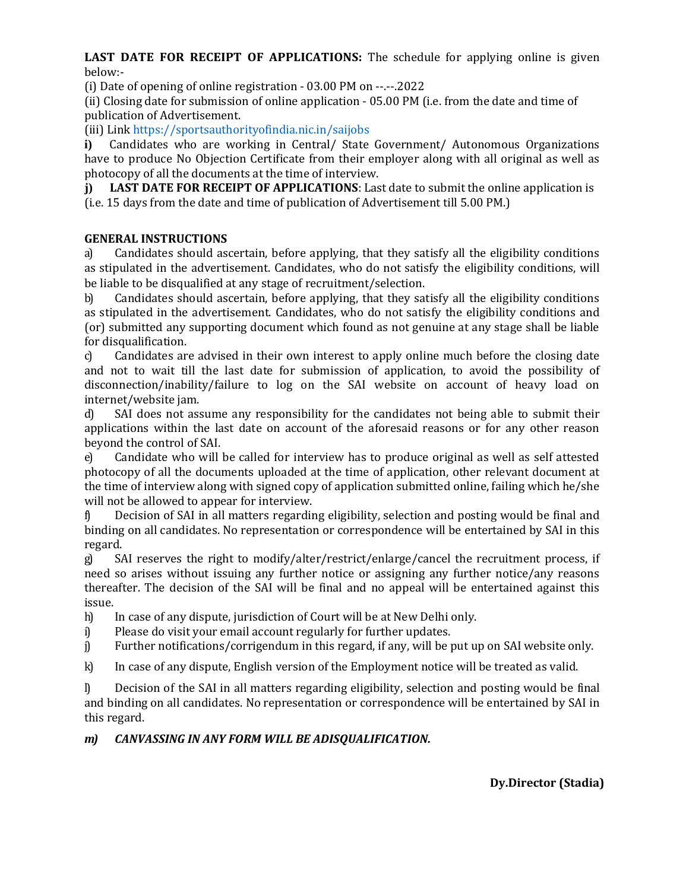**LAST DATE FOR RECEIPT OF APPLICATIONS:** The schedule for applying online is given below:-

(i) Date of opening of online registration - 03.00 PM on --.--.2022

(ii) Closing date for submission of online application - 05.00 PM (i.e. from the date and time of publication of Advertisement.

(iii) Link https://sportsauthorityofindia.nic.in/saijobs

**i)** Candidates who are working in Central/ State Government/ Autonomous Organizations have to produce No Objection Certificate from their employer along with all original as well as photocopy of all the documents at the time of interview.

**j) LAST DATE FOR RECEIPT OF APPLICATIONS**: Last date to submit the online application is (i.e. 15 days from the date and time of publication of Advertisement till 5.00 PM.)

## **GENERAL INSTRUCTIONS**

a) Candidates should ascertain, before applying, that they satisfy all the eligibility conditions as stipulated in the advertisement. Candidates, who do not satisfy the eligibility conditions, will be liable to be disqualified at any stage of recruitment/selection.

b) Candidates should ascertain, before applying, that they satisfy all the eligibility conditions as stipulated in the advertisement. Candidates, who do not satisfy the eligibility conditions and (or) submitted any supporting document which found as not genuine at any stage shall be liable for disqualification.

c) Candidates are advised in their own interest to apply online much before the closing date and not to wait till the last date for submission of application, to avoid the possibility of disconnection/inability/failure to log on the SAI website on account of heavy load on internet/website jam.

d) SAI does not assume any responsibility for the candidates not being able to submit their applications within the last date on account of the aforesaid reasons or for any other reason beyond the control of SAI.

e) Candidate who will be called for interview has to produce original as well as self attested photocopy of all the documents uploaded at the time of application, other relevant document at the time of interview along with signed copy of application submitted online, failing which he/she will not be allowed to appear for interview.

f) Decision of SAI in all matters regarding eligibility, selection and posting would be final and binding on all candidates. No representation or correspondence will be entertained by SAI in this regard.

g) SAI reserves the right to modify/alter/restrict/enlarge/cancel the recruitment process, if need so arises without issuing any further notice or assigning any further notice/any reasons thereafter. The decision of the SAI will be final and no appeal will be entertained against this issue.

h) In case of any dispute, jurisdiction of Court will be at New Delhi only.

- i) Please do visit your email account regularly for further updates.
- j) Further notifications/corrigendum in this regard, if any, will be put up on SAI website only.

k) In case of any dispute, English version of the Employment notice will be treated as valid.

l) Decision of the SAI in all matters regarding eligibility, selection and posting would be final and binding on all candidates. No representation or correspondence will be entertained by SAI in this regard.

# *m) CANVASSING IN ANY FORM WILL BE ADISQUALIFICATION.*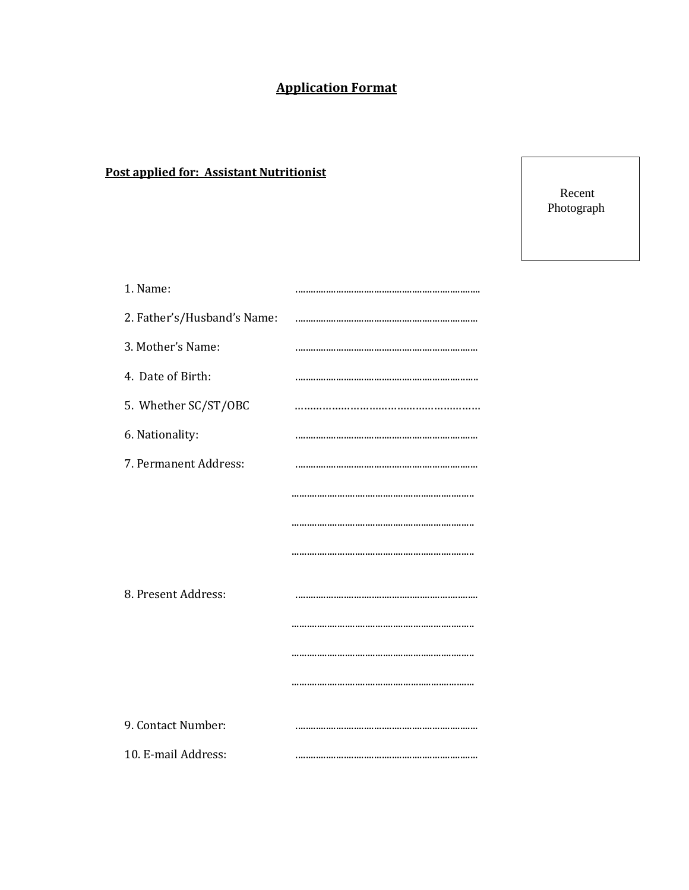# **Application Format**

# **Post applied for: Assistant Nutritionist**

Recent Photograph

| 1. Name:                    |  |
|-----------------------------|--|
| 2. Father's/Husband's Name: |  |
| 3. Mother's Name:           |  |
| 4. Date of Birth:           |  |
| 5. Whether SC/ST/OBC        |  |
| 6. Nationality:             |  |
| 7. Permanent Address:       |  |
|                             |  |
|                             |  |
|                             |  |
|                             |  |
| 8. Present Address:         |  |
|                             |  |
|                             |  |
|                             |  |
|                             |  |
| 9. Contact Number:          |  |
| 10. E-mail Address:         |  |